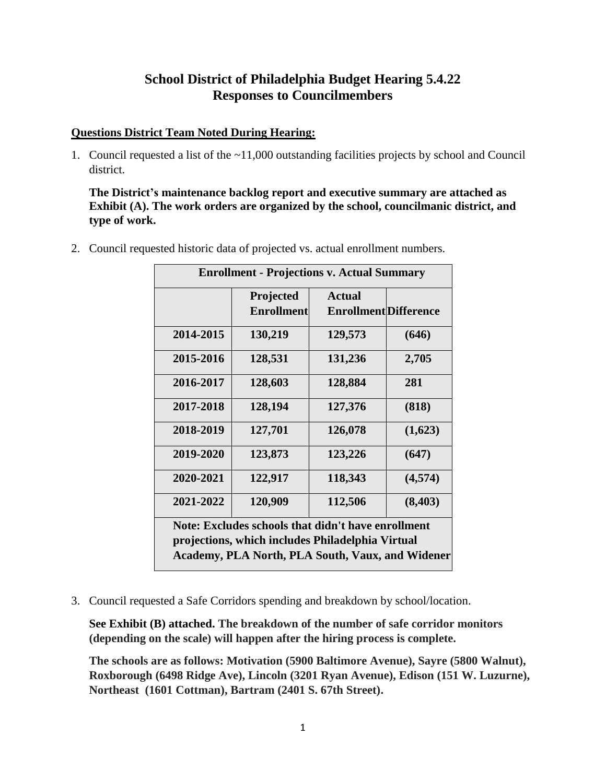# **School District of Philadelphia Budget Hearing 5.4.22 Responses to Councilmembers**

## **Questions District Team Noted During Hearing:**

1. Council requested a list of the ~11,000 outstanding facilities projects by school and Council district.

**The District's maintenance backlog report and executive summary are attached as Exhibit (A). The work orders are organized by the school, councilmanic district, and type of work.**

2. Council requested historic data of projected vs. actual enrollment numbers.

| <b>Enrollment - Projections v. Actual Summary</b>                                                                                                                 |                                |                                               |          |  |
|-------------------------------------------------------------------------------------------------------------------------------------------------------------------|--------------------------------|-----------------------------------------------|----------|--|
|                                                                                                                                                                   | Projected<br><b>Enrollment</b> | <b>Actual</b><br><b>Enrollment Difference</b> |          |  |
| 2014-2015                                                                                                                                                         | 130,219                        | 129,573                                       | (646)    |  |
| 2015-2016                                                                                                                                                         | 128,531                        | 131,236                                       | 2,705    |  |
| 2016-2017                                                                                                                                                         | 128,603                        | 128,884                                       | 281      |  |
| 2017-2018                                                                                                                                                         | 128,194                        | 127,376                                       | (818)    |  |
| 2018-2019                                                                                                                                                         | 127,701                        | 126,078                                       | (1,623)  |  |
| 2019-2020                                                                                                                                                         | 123,873                        | 123,226                                       | (647)    |  |
| 2020-2021                                                                                                                                                         | 122,917                        | 118,343                                       | (4,574)  |  |
| 2021-2022                                                                                                                                                         | 120,909                        | 112,506                                       | (8, 403) |  |
| Note: Excludes schools that didn't have enrollment<br>projections, which includes Philadelphia Virtual<br><b>Academy, PLA North, PLA South, Vaux, and Widener</b> |                                |                                               |          |  |

3. Council requested a Safe Corridors spending and breakdown by school/location.

**See Exhibit (B) attached. The breakdown of the number of safe corridor monitors (depending on the scale) will happen after the hiring process is complete.**

**The schools are as follows: Motivation (5900 Baltimore Avenue), Sayre (5800 Walnut), Roxborough (6498 Ridge Ave), Lincoln (3201 Ryan Avenue), Edison (151 W. Luzurne), Northeast (1601 Cottman), Bartram (2401 S. 67th Street).**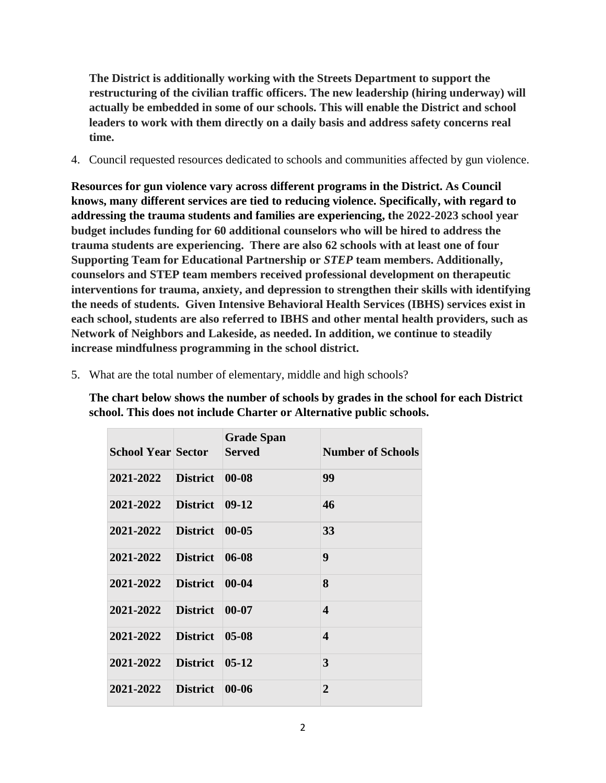**The District is additionally working with the Streets Department to support the restructuring of the civilian traffic officers. The new leadership (hiring underway) will actually be embedded in some of our schools. This will enable the District and school leaders to work with them directly on a daily basis and address safety concerns real time.**

4. Council requested resources dedicated to schools and communities affected by gun violence.

**Resources for gun violence vary across different programs in the District. As Council knows, many different services are tied to reducing violence. Specifically, with regard to addressing the trauma students and families are experiencing, the 2022-2023 school year budget includes funding for 60 additional counselors who will be hired to address the trauma students are experiencing. There are also 62 schools with at least one of four Supporting Team for Educational Partnership or** *STEP* **team members. Additionally, counselors and STEP team members received professional development on therapeutic interventions for trauma, anxiety, and depression to strengthen their skills with identifying the needs of students. Given Intensive Behavioral Health Services (IBHS) services exist in each school, students are also referred to IBHS and other mental health providers, such as Network of Neighbors and Lakeside, as needed. In addition, we continue to steadily increase mindfulness programming in the school district.** 

| <b>School Year Sector</b> |                 | <b>Grade Span</b><br><b>Served</b> | <b>Number of Schools</b> |
|---------------------------|-----------------|------------------------------------|--------------------------|
| 2021-2022                 | <b>District</b> | $00 - 08$                          | 99                       |
| 2021-2022                 | <b>District</b> | $09-12$                            | 46                       |
| 2021-2022                 | <b>District</b> | $00 - 05$                          | 33                       |
| 2021-2022                 | <b>District</b> | $06-08$                            | 9                        |
| 2021-2022                 | <b>District</b> | $00 - 04$                          | 8                        |
| 2021-2022                 | <b>District</b> | $00 - 07$                          | $\boldsymbol{4}$         |
| 2021-2022                 | <b>District</b> | $05-08$                            | $\boldsymbol{4}$         |
| 2021-2022                 | <b>District</b> | $05-12$                            | 3                        |
| 2021-2022                 | <b>District</b> | $00 - 06$                          | $\overline{2}$           |

5. What are the total number of elementary, middle and high schools?

**The chart below shows the number of schools by grades in the school for each District school. This does not include Charter or Alternative public schools.**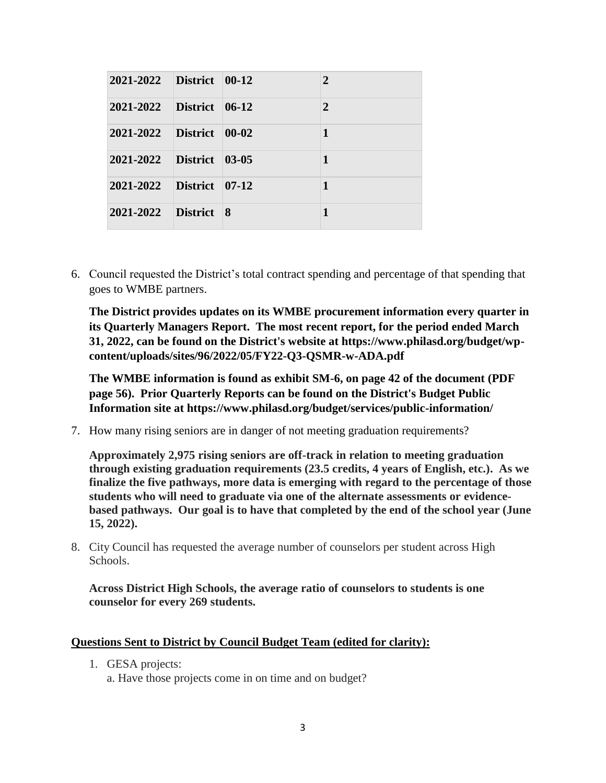| 2021-2022 | District $ 00-12 $     | $\overline{2}$ |
|-----------|------------------------|----------------|
| 2021-2022 | District $\vert$ 06-12 | $\overline{2}$ |
| 2021-2022 | District 100-02        | 1              |
| 2021-2022 | District 03-05         | 1              |
| 2021-2022 | District 07-12         | 1              |
| 2021-2022 | District 8             | 1              |

6. Council requested the District's total contract spending and percentage of that spending that goes to WMBE partners.

**The District provides updates on its WMBE procurement information every quarter in its Quarterly Managers Report. The most recent report, for the period ended March 31, 2022, can be found on the District's website at https://www.philasd.org/budget/wpcontent/uploads/sites/96/2022/05/FY22-Q3-QSMR-w-ADA.pdf**

**The WMBE information is found as exhibit SM-6, on page 42 of the document (PDF page 56). Prior Quarterly Reports can be found on the District's Budget Public Information site at https://www.philasd.org/budget/services/public-information/**

7. How many rising seniors are in danger of not meeting graduation requirements?

**Approximately 2,975 rising seniors are off-track in relation to meeting graduation through existing graduation requirements (23.5 credits, 4 years of English, etc.). As we finalize the five pathways, more data is emerging with regard to the percentage of those students who will need to graduate via one of the alternate assessments or evidencebased pathways. Our goal is to have that completed by the end of the school year (June 15, 2022).**

8. City Council has requested the average number of counselors per student across High Schools.

**Across District High Schools, the average ratio of counselors to students is one counselor for every 269 students.**

#### **Questions Sent to District by Council Budget Team (edited for clarity):**

1. GESA projects:

a. Have those projects come in on time and on budget?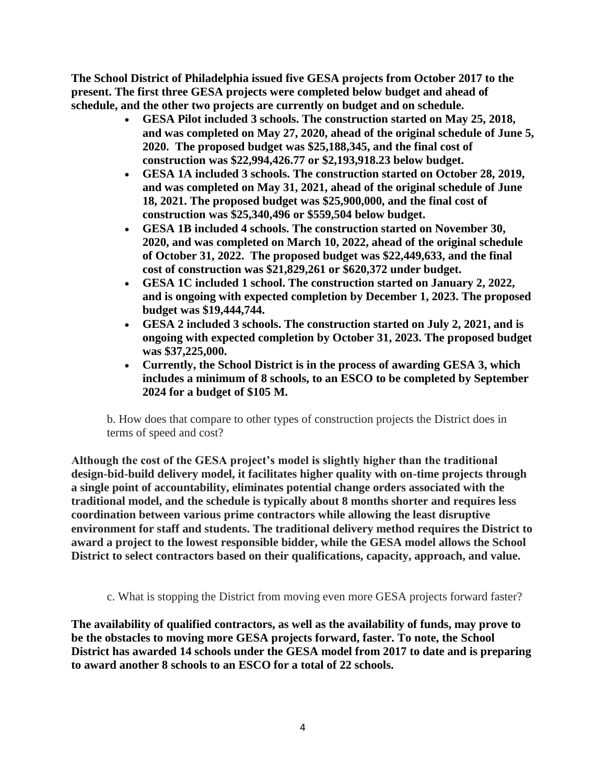**The School District of Philadelphia issued five GESA projects from October 2017 to the present. The first three GESA projects were completed below budget and ahead of schedule, and the other two projects are currently on budget and on schedule.** 

- **GESA Pilot included 3 schools. The construction started on May 25, 2018, and was completed on May 27, 2020, ahead of the original schedule of June 5, 2020. The proposed budget was \$25,188,345, and the final cost of construction was \$22,994,426.77 or \$2,193,918.23 below budget.**
- **GESA 1A included 3 schools. The construction started on October 28, 2019, and was completed on May 31, 2021, ahead of the original schedule of June 18, 2021. The proposed budget was \$25,900,000, and the final cost of construction was \$25,340,496 or \$559,504 below budget.**
- **GESA 1B included 4 schools. The construction started on November 30, 2020, and was completed on March 10, 2022, ahead of the original schedule of October 31, 2022. The proposed budget was \$22,449,633, and the final cost of construction was \$21,829,261 or \$620,372 under budget.**
- **GESA 1C included 1 school. The construction started on January 2, 2022, and is ongoing with expected completion by December 1, 2023. The proposed budget was \$19,444,744.**
- **GESA 2 included 3 schools. The construction started on July 2, 2021, and is ongoing with expected completion by October 31, 2023. The proposed budget was \$37,225,000.**
- **Currently, the School District is in the process of awarding GESA 3, which includes a minimum of 8 schools, to an ESCO to be completed by September 2024 for a budget of \$105 M.**

b. How does that compare to other types of construction projects the District does in terms of speed and cost?

**Although the cost of the GESA project's model is slightly higher than the traditional design-bid-build delivery model, it facilitates higher quality with on-time projects through a single point of accountability, eliminates potential change orders associated with the traditional model, and the schedule is typically about 8 months shorter and requires less coordination between various prime contractors while allowing the least disruptive environment for staff and students. The traditional delivery method requires the District to award a project to the lowest responsible bidder, while the GESA model allows the School District to select contractors based on their qualifications, capacity, approach, and value.**

c. What is stopping the District from moving even more GESA projects forward faster?

**The availability of qualified contractors, as well as the availability of funds, may prove to be the obstacles to moving more GESA projects forward, faster. To note, the School District has awarded 14 schools under the GESA model from 2017 to date and is preparing to award another 8 schools to an ESCO for a total of 22 schools.**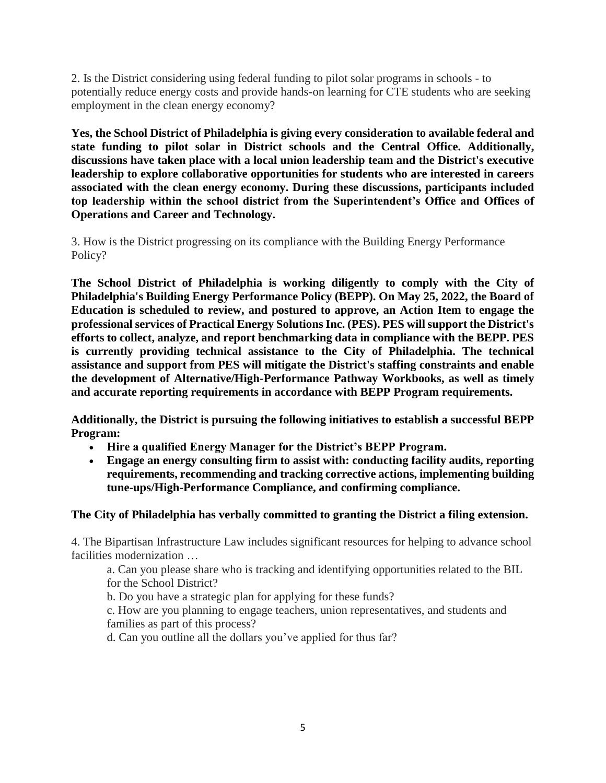2. Is the District considering using federal funding to pilot solar programs in schools - to potentially reduce energy costs and provide hands-on learning for CTE students who are seeking employment in the clean energy economy?

**Yes, the School District of Philadelphia is giving every consideration to available federal and state funding to pilot solar in District schools and the Central Office. Additionally, discussions have taken place with a local union leadership team and the District's executive leadership to explore collaborative opportunities for students who are interested in careers associated with the clean energy economy. During these discussions, participants included top leadership within the school district from the Superintendent's Office and Offices of Operations and Career and Technology.**

3. How is the District progressing on its compliance with the Building Energy Performance Policy?

**The School District of Philadelphia is working diligently to comply with the City of Philadelphia's Building Energy Performance Policy (BEPP). On May 25, 2022, the Board of Education is scheduled to review, and postured to approve, an Action Item to engage the professional services of Practical Energy Solutions Inc. (PES). PES will support the District's efforts to collect, analyze, and report benchmarking data in compliance with the BEPP. PES is currently providing technical assistance to the City of Philadelphia. The technical assistance and support from PES will mitigate the District's staffing constraints and enable the development of Alternative/High-Performance Pathway Workbooks, as well as timely and accurate reporting requirements in accordance with BEPP Program requirements.**

**Additionally, the District is pursuing the following initiatives to establish a successful BEPP Program:**

- **Hire a qualified Energy Manager for the District's BEPP Program.**
- **Engage an energy consulting firm to assist with: conducting facility audits, reporting requirements, recommending and tracking corrective actions, implementing building tune-ups/High-Performance Compliance, and confirming compliance.**

## **The City of Philadelphia has verbally committed to granting the District a filing extension.**

4. The Bipartisan Infrastructure Law includes significant resources for helping to advance school facilities modernization …

a. Can you please share who is tracking and identifying opportunities related to the BIL for the School District?

b. Do you have a strategic plan for applying for these funds?

c. How are you planning to engage teachers, union representatives, and students and families as part of this process?

d. Can you outline all the dollars you've applied for thus far?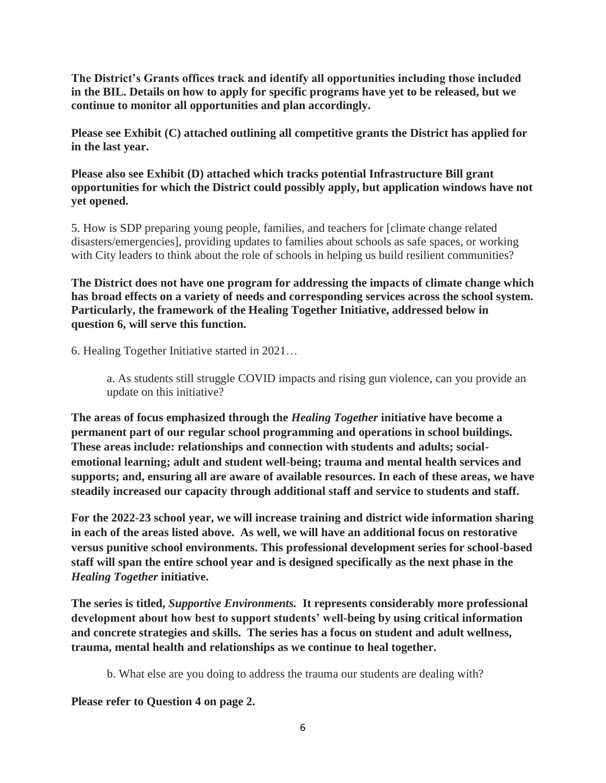**The District's Grants offices track and identify all opportunities including those included in the BIL. Details on how to apply for specific programs have yet to be released, but we continue to monitor all opportunities and plan accordingly.** 

**Please see Exhibit (C) attached outlining all competitive grants the District has applied for in the last year.**

**Please also see Exhibit (D) attached which tracks potential Infrastructure Bill grant opportunities for which the District could possibly apply, but application windows have not yet opened.**

5. How is SDP preparing young people, families, and teachers for [climate change related disasters/emergencies], providing updates to families about schools as safe spaces, or working with City leaders to think about the role of schools in helping us build resilient communities?

**The District does not have one program for addressing the impacts of climate change which has broad effects on a variety of needs and corresponding services across the school system. Particularly, the framework of the Healing Together Initiative, addressed below in question 6, will serve this function.** 

6. Healing Together Initiative started in 2021…

a. As students still struggle COVID impacts and rising gun violence, can you provide an update on this initiative?

**The areas of focus emphasized through the** *Healing Together* **initiative have become a permanent part of our regular school programming and operations in school buildings. These areas include: relationships and connection with students and adults; socialemotional learning; adult and student well-being; trauma and mental health services and supports; and, ensuring all are aware of available resources. In each of these areas, we have steadily increased our capacity through additional staff and service to students and staff.** 

**For the 2022-23 school year, we will increase training and district wide information sharing in each of the areas listed above. As well, we will have an additional focus on restorative versus punitive school environments. This professional development series for school-based staff will span the entire school year and is designed specifically as the next phase in the**  *Healing Together* **initiative.**

**The series is titled,** *Supportive Environments.* **It represents considerably more professional development about how best to support students' well-being by using critical information and concrete strategies and skills. The series has a focus on student and adult wellness, trauma, mental health and relationships as we continue to heal together.** 

b. What else are you doing to address the trauma our students are dealing with?

**Please refer to Question 4 on page 2.**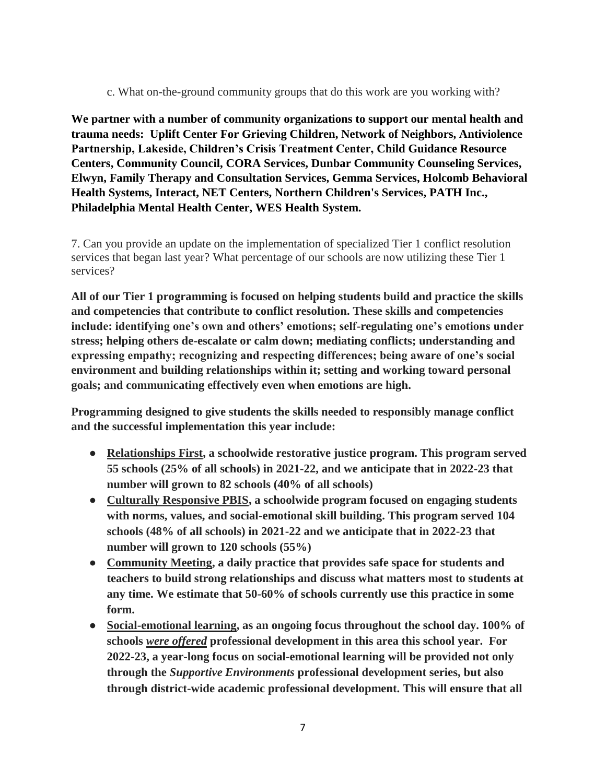c. What on-the-ground community groups that do this work are you working with?

**We partner with a number of community organizations to support our mental health and trauma needs: Uplift Center For Grieving Children, Network of Neighbors, Antiviolence Partnership, Lakeside, Children's Crisis Treatment Center, Child Guidance Resource Centers, Community Council, CORA Services, Dunbar Community Counseling Services, Elwyn, Family Therapy and Consultation Services, Gemma Services, Holcomb Behavioral Health Systems, Interact, NET Centers, Northern Children's Services, PATH Inc., Philadelphia Mental Health Center, WES Health System.** 

7. Can you provide an update on the implementation of specialized Tier 1 conflict resolution services that began last year? What percentage of our schools are now utilizing these Tier 1 services?

**All of our Tier 1 programming is focused on helping students build and practice the skills and competencies that contribute to conflict resolution. These skills and competencies include: identifying one's own and others' emotions; self-regulating one's emotions under stress; helping others de-escalate or calm down; mediating conflicts; understanding and expressing empathy; recognizing and respecting differences; being aware of one's social environment and building relationships within it; setting and working toward personal goals; and communicating effectively even when emotions are high.**

**Programming designed to give students the skills needed to responsibly manage conflict and the successful implementation this year include:** 

- **Relationships First, a schoolwide restorative justice program. This program served 55 schools (25% of all schools) in 2021-22, and we anticipate that in 2022-23 that number will grown to 82 schools (40% of all schools)**
- **Culturally Responsive PBIS, a schoolwide program focused on engaging students with norms, values, and social-emotional skill building. This program served 104 schools (48% of all schools) in 2021-22 and we anticipate that in 2022-23 that number will grown to 120 schools (55%)**
- **Community Meeting, a daily practice that provides safe space for students and teachers to build strong relationships and discuss what matters most to students at any time. We estimate that 50-60% of schools currently use this practice in some form.**
- **Social-emotional learning, as an ongoing focus throughout the school day. 100% of schools** *were offered* **professional development in this area this school year. For 2022-23, a year-long focus on social-emotional learning will be provided not only through the** *Supportive Environments* **professional development series, but also through district-wide academic professional development. This will ensure that all**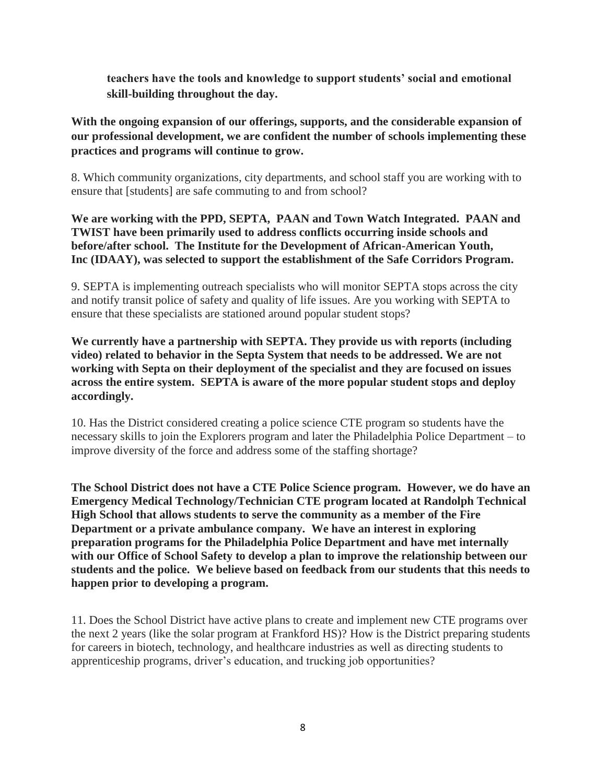**teachers have the tools and knowledge to support students' social and emotional skill-building throughout the day.** 

**With the ongoing expansion of our offerings, supports, and the considerable expansion of our professional development, we are confident the number of schools implementing these practices and programs will continue to grow.** 

8. Which community organizations, city departments, and school staff you are working with to ensure that [students] are safe commuting to and from school?

**We are working with the PPD, SEPTA, PAAN and Town Watch Integrated. PAAN and TWIST have been primarily used to address conflicts occurring inside schools and before/after school. The Institute for the Development of African-American Youth, Inc (IDAAY), was selected to support the establishment of the Safe Corridors Program.**

9. SEPTA is implementing outreach specialists who will monitor SEPTA stops across the city and notify transit police of safety and quality of life issues. Are you working with SEPTA to ensure that these specialists are stationed around popular student stops?

**We currently have a partnership with SEPTA. They provide us with reports (including video) related to behavior in the Septa System that needs to be addressed. We are not working with Septa on their deployment of the specialist and they are focused on issues across the entire system. SEPTA is aware of the more popular student stops and deploy accordingly.**

10. Has the District considered creating a police science CTE program so students have the necessary skills to join the Explorers program and later the Philadelphia Police Department – to improve diversity of the force and address some of the staffing shortage?

**The School District does not have a CTE Police Science program. However, we do have an Emergency Medical Technology/Technician CTE program located at Randolph Technical High School that allows students to serve the community as a member of the Fire Department or a private ambulance company. We have an interest in exploring preparation programs for the Philadelphia Police Department and have met internally with our Office of School Safety to develop a plan to improve the relationship between our students and the police. We believe based on feedback from our students that this needs to happen prior to developing a program.**

11. Does the School District have active plans to create and implement new CTE programs over the next 2 years (like the solar program at Frankford HS)? How is the District preparing students for careers in biotech, technology, and healthcare industries as well as directing students to apprenticeship programs, driver's education, and trucking job opportunities?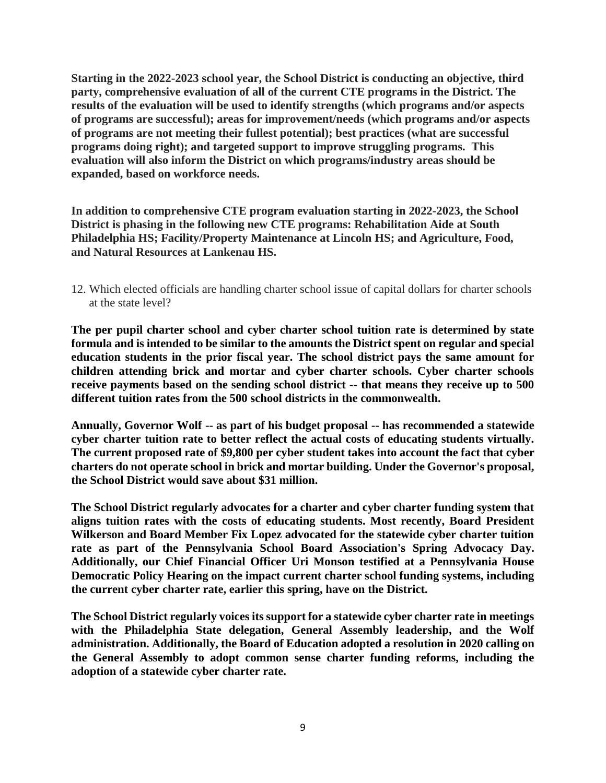**Starting in the 2022-2023 school year, the School District is conducting an objective, third party, comprehensive evaluation of all of the current CTE programs in the District. The results of the evaluation will be used to identify strengths (which programs and/or aspects of programs are successful); areas for improvement/needs (which programs and/or aspects of programs are not meeting their fullest potential); best practices (what are successful programs doing right); and targeted support to improve struggling programs. This evaluation will also inform the District on which programs/industry areas should be expanded, based on workforce needs.**

**In addition to comprehensive CTE program evaluation starting in 2022-2023, the School District is phasing in the following new CTE programs: Rehabilitation Aide at South Philadelphia HS; Facility/Property Maintenance at Lincoln HS; and Agriculture, Food, and Natural Resources at Lankenau HS.**

12. Which elected officials are handling charter school issue of capital dollars for charter schools at the state level?

**The per pupil charter school and cyber charter school tuition rate is determined by state formula and is intended to be similar to the amounts the District spent on regular and special education students in the prior fiscal year. The school district pays the same amount for children attending brick and mortar and cyber charter schools. Cyber charter schools receive payments based on the sending school district -- that means they receive up to 500 different tuition rates from the 500 school districts in the commonwealth.**

**Annually, Governor Wolf -- as part of his budget proposal -- has recommended a statewide cyber charter tuition rate to better reflect the actual costs of educating students virtually. The current proposed rate of \$9,800 per cyber student takes into account the fact that cyber charters do not operate school in brick and mortar building. Under the Governor's proposal, the School District would save about \$31 million.** 

**The School District regularly advocates for a charter and cyber charter funding system that aligns tuition rates with the costs of educating students. Most recently, Board President Wilkerson and Board Member Fix Lopez advocated for the statewide cyber charter tuition rate as part of the Pennsylvania School Board Association's Spring Advocacy Day. Additionally, our Chief Financial Officer Uri Monson testified at a Pennsylvania House Democratic Policy Hearing on the impact current charter school funding systems, including the current cyber charter rate, earlier this spring, have on the District.** 

**The School District regularly voices its support for a statewide cyber charter rate in meetings with the Philadelphia State delegation, General Assembly leadership, and the Wolf administration. Additionally, the Board of Education adopted a resolution in 2020 calling on the General Assembly to adopt common sense charter funding reforms, including the adoption of a statewide cyber charter rate.**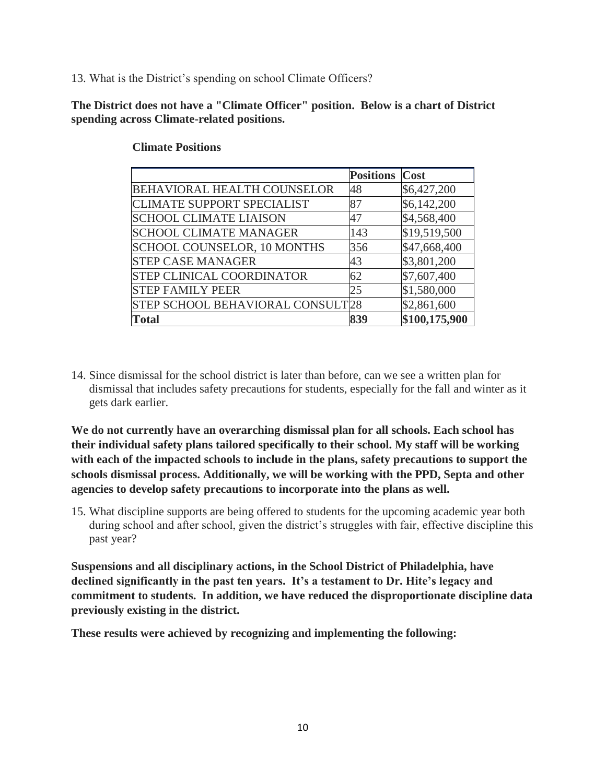13. What is the District's spending on school Climate Officers?

#### **The District does not have a "Climate Officer" position. Below is a chart of District spending across Climate-related positions.**

|                                    | <b>Positions</b> | Cost          |
|------------------------------------|------------------|---------------|
| <b>BEHAVIORAL HEALTH COUNSELOR</b> | 48               | \$6,427,200   |
| <b>CLIMATE SUPPORT SPECIALIST</b>  | 87               | \$6,142,200   |
| <b>SCHOOL CLIMATE LIAISON</b>      | 47               | \$4,568,400   |
| <b>SCHOOL CLIMATE MANAGER</b>      | 143              | \$19,519,500  |
| <b>SCHOOL COUNSELOR, 10 MONTHS</b> | 356              | \$47,668,400  |
| <b>STEP CASE MANAGER</b>           | 43               | \$3,801,200   |
| <b>STEP CLINICAL COORDINATOR</b>   | 62               | \$7,607,400   |
| <b>STEP FAMILY PEER</b>            | 25               | \$1,580,000   |
| STEP SCHOOL BEHAVIORAL CONSULT 28  |                  | \$2,861,600   |
| <b>Total</b>                       | 839              | \$100,175,900 |

#### **Climate Positions**

14. Since dismissal for the school district is later than before, can we see a written plan for dismissal that includes safety precautions for students, especially for the fall and winter as it gets dark earlier.

**We do not currently have an overarching dismissal plan for all schools. Each school has their individual safety plans tailored specifically to their school. My staff will be working with each of the impacted schools to include in the plans, safety precautions to support the schools dismissal process. Additionally, we will be working with the PPD, Septa and other agencies to develop safety precautions to incorporate into the plans as well.**

15. What discipline supports are being offered to students for the upcoming academic year both during school and after school, given the district's struggles with fair, effective discipline this past year?

**Suspensions and all disciplinary actions, in the School District of Philadelphia, have declined significantly in the past ten years. It's a testament to Dr. Hite's legacy and commitment to students. In addition, we have reduced the disproportionate discipline data previously existing in the district.** 

**These results were achieved by recognizing and implementing the following:**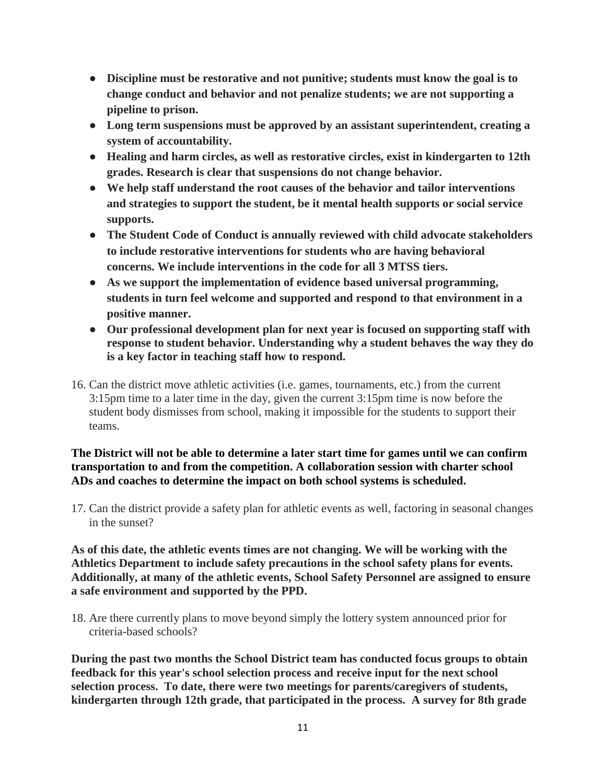- **Discipline must be restorative and not punitive; students must know the goal is to change conduct and behavior and not penalize students; we are not supporting a pipeline to prison.**
- **Long term suspensions must be approved by an assistant superintendent, creating a system of accountability.**
- **Healing and harm circles, as well as restorative circles, exist in kindergarten to 12th grades. Research is clear that suspensions do not change behavior.**
- **We help staff understand the root causes of the behavior and tailor interventions and strategies to support the student, be it mental health supports or social service supports.**
- **The Student Code of Conduct is annually reviewed with child advocate stakeholders to include restorative interventions for students who are having behavioral concerns. We include interventions in the code for all 3 MTSS tiers.**
- **As we support the implementation of evidence based universal programming, students in turn feel welcome and supported and respond to that environment in a positive manner.**
- **Our professional development plan for next year is focused on supporting staff with response to student behavior. Understanding why a student behaves the way they do is a key factor in teaching staff how to respond.**
- 16. Can the district move athletic activities (i.e. games, tournaments, etc.) from the current 3:15pm time to a later time in the day, given the current 3:15pm time is now before the student body dismisses from school, making it impossible for the students to support their teams.

## **The District will not be able to determine a later start time for games until we can confirm transportation to and from the competition. A collaboration session with charter school ADs and coaches to determine the impact on both school systems is scheduled.**

17. Can the district provide a safety plan for athletic events as well, factoring in seasonal changes in the sunset?

**As of this date, the athletic events times are not changing. We will be working with the Athletics Department to include safety precautions in the school safety plans for events. Additionally, at many of the athletic events, School Safety Personnel are assigned to ensure a safe environment and supported by the PPD.**

18. Are there currently plans to move beyond simply the lottery system announced prior for criteria-based schools?

**During the past two months the School District team has conducted focus groups to obtain feedback for this year's school selection process and receive input for the next school selection process. To date, there were two meetings for parents/caregivers of students, kindergarten through 12th grade, that participated in the process. A survey for 8th grade**